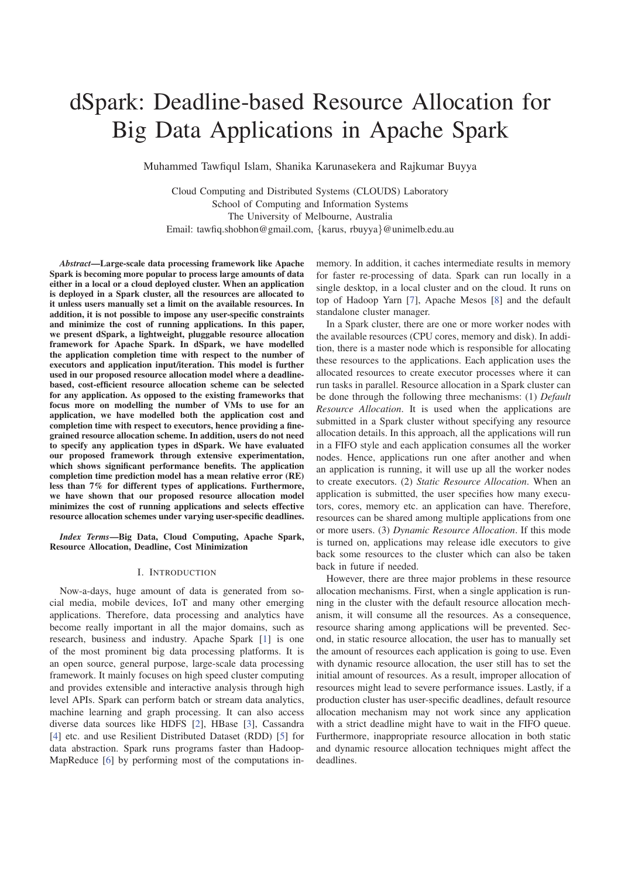# dSpark: Deadline-based Resource Allocation for Big Data Applications in Apache Spark

Muhammed Tawfiqul Islam, Shanika Karunasekera and Rajkumar Buyya

Cloud Computing and Distributed Systems (CLOUDS) Laboratory School of Computing and Information Systems The University of Melbourne, Australia Email: tawfiq.shobhon@gmail.com, {karus, rbuyya}@unimelb.edu.au

*Abstract*—Large-scale data processing framework like Apache Spark is becoming more popular to process large amounts of data either in a local or a cloud deployed cluster. When an application is deployed in a Spark cluster, all the resources are allocated to it unless users manually set a limit on the available resources. In addition, it is not possible to impose any user-specific constraints and minimize the cost of running applications. In this paper, we present dSpark, a lightweight, pluggable resource allocation framework for Apache Spark. In dSpark, we have modelled the application completion time with respect to the number of executors and application input/iteration. This model is further used in our proposed resource allocation model where a deadlinebased, cost-efficient resource allocation scheme can be selected for any application. As opposed to the existing frameworks that focus more on modelling the number of VMs to use for an application, we have modelled both the application cost and completion time with respect to executors, hence providing a finegrained resource allocation scheme. In addition, users do not need to specify any application types in dSpark. We have evaluated our proposed framework through extensive experimentation, which shows significant performance benefits. The application completion time prediction model has a mean relative error (RE) less than 7% for different types of applications. Furthermore, we have shown that our proposed resource allocation model minimizes the cost of running applications and selects effective resource allocation schemes under varying user-specific deadlines.

*Index Terms*—Big Data, Cloud Computing, Apache Spark, Resource Allocation, Deadline, Cost Minimization

#### I. INTRODUCTION

Now-a-days, huge amount of data is generated from social media, mobile devices, IoT and many other emerging applications. Therefore, data processing and analytics have become really important in all the major domains, such as research, business and industry. Apache Spark [1] is one of the most prominent big data processing platforms. It is an open source, general purpose, large-scale data processing framework. It mainly focuses on high speed cluster computing and provides extensible and interactive analysis through high level APIs. Spark can perform batch or stream data analytics, machine learning and graph processing. It can also access diverse data sources like HDFS [2], HBase [3], Cassandra [4] etc. and use Resilient Distributed Dataset (RDD) [5] for data abstraction. Spark runs programs faster than Hadoop-MapReduce [6] by performing most of the computations inmemory. In addition, it caches intermediate results in memory for faster re-processing of data. Spark can run locally in a single desktop, in a local cluster and on the cloud. It runs on top of Hadoop Yarn [7], Apache Mesos [8] and the default standalone cluster manager.

In a Spark cluster, there are one or more worker nodes with the available resources (CPU cores, memory and disk). In addition, there is a master node which is responsible for allocating these resources to the applications. Each application uses the allocated resources to create executor processes where it can run tasks in parallel. Resource allocation in a Spark cluster can be done through the following three mechanisms: (1) *Default Resource Allocation*. It is used when the applications are submitted in a Spark cluster without specifying any resource allocation details. In this approach, all the applications will run in a FIFO style and each application consumes all the worker nodes. Hence, applications run one after another and when an application is running, it will use up all the worker nodes to create executors. (2) *Static Resource Allocation*. When an application is submitted, the user specifies how many executors, cores, memory etc. an application can have. Therefore, resources can be shared among multiple applications from one or more users. (3) *Dynamic Resource Allocation*. If this mode is turned on, applications may release idle executors to give back some resources to the cluster which can also be taken back in future if needed.

However, there are three major problems in these resource allocation mechanisms. First, when a single application is running in the cluster with the default resource allocation mechanism, it will consume all the resources. As a consequence, resource sharing among applications will be prevented. Second, in static resource allocation, the user has to manually set the amount of resources each application is going to use. Even with dynamic resource allocation, the user still has to set the initial amount of resources. As a result, improper allocation of resources might lead to severe performance issues. Lastly, if a production cluster has user-specific deadlines, default resource allocation mechanism may not work since any application with a strict deadline might have to wait in the FIFO queue. Furthermore, inappropriate resource allocation in both static and dynamic resource allocation techniques might affect the deadlines.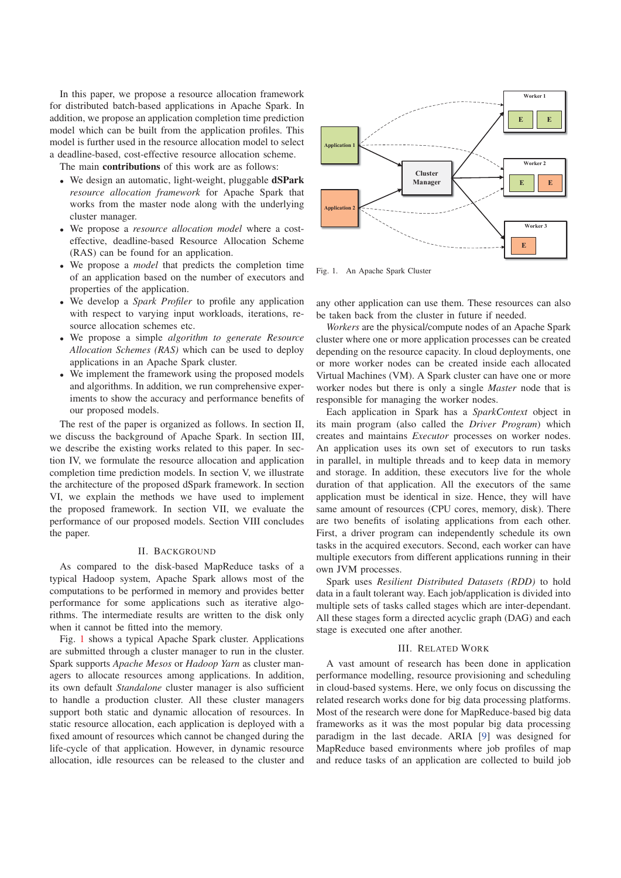In this paper, we propose a resource allocation framework for distributed batch-based applications in Apache Spark. In addition, we propose an application completion time prediction model which can be built from the application profiles. This model is further used in the resource allocation model to select a deadline-based, cost-effective resource allocation scheme.

The main contributions of this work are as follows:

- We design an automatic, light-weight, pluggable **dSPark** *resource allocation framework* for Apache Spark that works from the master node along with the underlying cluster manager.
- We propose a *resource allocation model* where a costeffective, deadline-based Resource Allocation Scheme (RAS) can be found for an application.
- We propose a *model* that predicts the completion time of an application based on the number of executors and properties of the application.
- We develop a *Spark Profiler* to profile any application with respect to varying input workloads, iterations, resource allocation schemes etc.
- We propose a simple *algorithm to generate Resource Allocation Schemes (RAS)* which can be used to deploy applications in an Apache Spark cluster.
- We implement the framework using the proposed models and algorithms. In addition, we run comprehensive experiments to show the accuracy and performance benefits of our proposed models.

The rest of the paper is organized as follows. In section II, we discuss the background of Apache Spark. In section III, we describe the existing works related to this paper. In section IV, we formulate the resource allocation and application completion time prediction models. In section V, we illustrate the architecture of the proposed dSpark framework. In section VI, we explain the methods we have used to implement the proposed framework. In section VII, we evaluate the performance of our proposed models. Section VIII concludes the paper.

# II. BACKGROUND

As compared to the disk-based MapReduce tasks of a typical Hadoop system, Apache Spark allows most of the computations to be performed in memory and provides better performance for some applications such as iterative algorithms. The intermediate results are written to the disk only when it cannot be fitted into the memory.

Fig. 1 shows a typical Apache Spark cluster. Applications are submitted through a cluster manager to run in the cluster. Spark supports *Apache Mesos* or *Hadoop Yarn* as cluster managers to allocate resources among applications. In addition, its own default *Standalone* cluster manager is also sufficient to handle a production cluster. All these cluster managers support both static and dynamic allocation of resources. In static resource allocation, each application is deployed with a fixed amount of resources which cannot be changed during the life-cycle of that application. However, in dynamic resource allocation, idle resources can be released to the cluster and



Fig. 1. An Apache Spark Cluster

any other application can use them. These resources can also be taken back from the cluster in future if needed.

*Workers* are the physical/compute nodes of an Apache Spark cluster where one or more application processes can be created depending on the resource capacity. In cloud deployments, one or more worker nodes can be created inside each allocated Virtual Machines (VM). A Spark cluster can have one or more worker nodes but there is only a single *Master* node that is responsible for managing the worker nodes.

Each application in Spark has a *SparkContext* object in its main program (also called the *Driver Program*) which creates and maintains *Executor* processes on worker nodes. An application uses its own set of executors to run tasks in parallel, in multiple threads and to keep data in memory and storage. In addition, these executors live for the whole duration of that application. All the executors of the same application must be identical in size. Hence, they will have same amount of resources (CPU cores, memory, disk). There are two benefits of isolating applications from each other. First, a driver program can independently schedule its own tasks in the acquired executors. Second, each worker can have multiple executors from different applications running in their own JVM processes.

Spark uses *Resilient Distributed Datasets (RDD)* to hold data in a fault tolerant way. Each job/application is divided into multiple sets of tasks called stages which are inter-dependant. All these stages form a directed acyclic graph (DAG) and each stage is executed one after another.

## III. RELATED WORK

A vast amount of research has been done in application performance modelling, resource provisioning and scheduling in cloud-based systems. Here, we only focus on discussing the related research works done for big data processing platforms. Most of the research were done for MapReduce-based big data frameworks as it was the most popular big data processing paradigm in the last decade. ARIA [9] was designed for MapReduce based environments where job profiles of map and reduce tasks of an application are collected to build job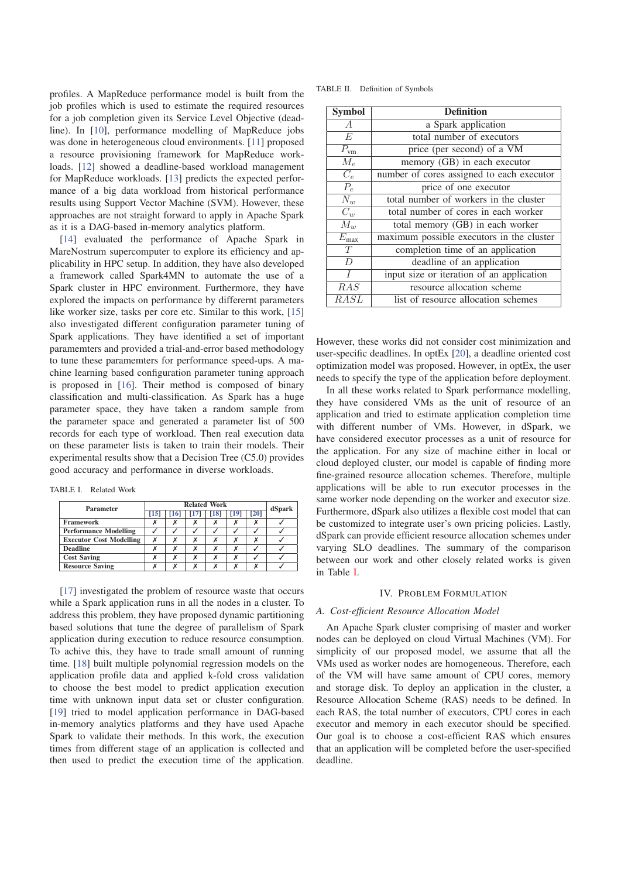profiles. A MapReduce performance model is built from the job profiles which is used to estimate the required resources for a job completion given its Service Level Objective (deadline). In [10], performance modelling of MapReduce jobs was done in heterogeneous cloud environments. [11] proposed a resource provisioning framework for MapReduce workloads. [12] showed a deadline-based workload management for MapReduce workloads. [13] predicts the expected performance of a big data workload from historical performance results using Support Vector Machine (SVM). However, these approaches are not straight forward to apply in Apache Spark as it is a DAG-based in-memory analytics platform.

[14] evaluated the performance of Apache Spark in MareNostrum supercomputer to explore its efficiency and applicability in HPC setup. In addition, they have also developed a framework called Spark4MN to automate the use of a Spark cluster in HPC environment. Furthermore, they have explored the impacts on performance by differernt parameters like worker size, tasks per core etc. Similar to this work, [15] also investigated different configuration parameter tuning of Spark applications. They have identified a set of important paramemters and provided a trial-and-error based methodology to tune these paramemters for performance speed-ups. A machine learning based configuration parameter tuning approach is proposed in [16]. Their method is composed of binary classification and multi-classification. As Spark has a huge parameter space, they have taken a random sample from the parameter space and generated a parameter list of 500 records for each type of workload. Then real execution data on these parameter lists is taken to train their models. Their experimental results show that a Decision Tree (C5.0) provides good accuracy and performance in diverse workloads.

| TABLE I. | Related Work |  |
|----------|--------------|--|
|----------|--------------|--|

| Parameter                      | <b>Related Work</b> |      |      |      |      | dSpark      |  |
|--------------------------------|---------------------|------|------|------|------|-------------|--|
|                                | 1151                | 1161 | 1171 | [18] | [19] | <b>[20]</b> |  |
| Framework                      |                     |      |      |      |      |             |  |
| <b>Performance Modelling</b>   |                     |      |      |      |      |             |  |
| <b>Executor Cost Modelling</b> | Х                   |      |      |      |      |             |  |
| <b>Deadline</b>                |                     |      |      |      |      |             |  |
| <b>Cost Saving</b>             | x                   |      |      |      | x    |             |  |
| <b>Resource Saving</b>         |                     |      |      |      |      |             |  |

[17] investigated the problem of resource waste that occurs while a Spark application runs in all the nodes in a cluster. To address this problem, they have proposed dynamic partitioning based solutions that tune the degree of parallelism of Spark application during execution to reduce resource consumption. To achive this, they have to trade small amount of running time. [18] built multiple polynomial regression models on the application profile data and applied k-fold cross validation to choose the best model to predict application execution time with unknown input data set or cluster configuration. [19] tried to model application performance in DAG-based in-memory analytics platforms and they have used Apache Spark to validate their methods. In this work, the execution times from different stage of an application is collected and then used to predict the execution time of the application.

TABLE II. Definition of Symbols

| <b>Symbol</b>    | <b>Definition</b>                         |
|------------------|-------------------------------------------|
| $\overline{A}$   | a Spark application                       |
| E                | total number of executors                 |
| $P_{\rm vw}$     | price (per second) of a VM                |
| $M_e$            | memory (GB) in each executor              |
| $C_e$            | number of cores assigned to each executor |
| $\overline{P_e}$ | price of one executor                     |
| $\overline{N}_w$ | total number of workers in the cluster    |
| $\overline{C}_w$ | total number of cores in each worker      |
| $M_w$            | total memory (GB) in each worker          |
| $E_{\rm max}$    | maximum possible executors in the cluster |
| T                | completion time of an application         |
| $\overline{D}$   | deadline of an application                |
| $\overline{I}$   | input size or iteration of an application |
| RAS              | resource allocation scheme                |
| RASL             | list of resource allocation schemes       |

However, these works did not consider cost minimization and user-specific deadlines. In optEx [20], a deadline oriented cost optimization model was proposed. However, in optEx, the user needs to specify the type of the application before deployment.

In all these works related to Spark performance modelling, they have considered VMs as the unit of resource of an application and tried to estimate application completion time with different number of VMs. However, in dSpark, we have considered executor processes as a unit of resource for the application. For any size of machine either in local or cloud deployed cluster, our model is capable of finding more fine-grained resource allocation schemes. Therefore, multiple applications will be able to run executor processes in the same worker node depending on the worker and executor size. Furthermore, dSpark also utilizes a flexible cost model that can be customized to integrate user's own pricing policies. Lastly, dSpark can provide efficient resource allocation schemes under varying SLO deadlines. The summary of the comparison between our work and other closely related works is given in Table I.

## IV. PROBLEM FORMULATION

# *A. Cost-efficient Resource Allocation Model*

An Apache Spark cluster comprising of master and worker nodes can be deployed on cloud Virtual Machines (VM). For simplicity of our proposed model, we assume that all the VMs used as worker nodes are homogeneous. Therefore, each of the VM will have same amount of CPU cores, memory and storage disk. To deploy an application in the cluster, a Resource Allocation Scheme (RAS) needs to be defined. In each RAS, the total number of executors, CPU cores in each executor and memory in each executor should be specified. Our goal is to choose a cost-efficient RAS which ensures that an application will be completed before the user-specified deadline.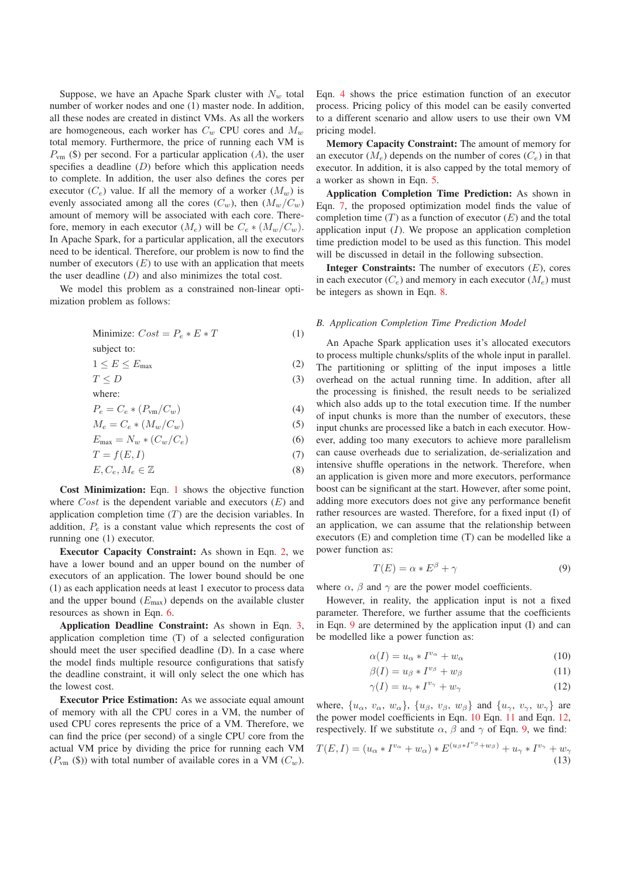Suppose, we have an Apache Spark cluster with  $N_w$  total number of worker nodes and one (1) master node. In addition, all these nodes are created in distinct VMs. As all the workers are homogeneous, each worker has  $C_w$  CPU cores and  $M_w$ total memory. Furthermore, the price of running each VM is  $P_{\text{vm}}$  (\$) per second. For a particular application (A), the user specifies a deadline  $(D)$  before which this application needs to complete. In addition, the user also defines the cores per executor  $(C_e)$  value. If all the memory of a worker  $(M_w)$  is evenly associated among all the cores  $(C_w)$ , then  $(M_w/C_w)$ amount of memory will be associated with each core. Therefore, memory in each executor  $(M_e)$  will be  $C_e * (M_w/C_w)$ . In Apache Spark, for a particular application, all the executors need to be identical. Therefore, our problem is now to find the number of executors  $(E)$  to use with an application that meets the user deadline  $(D)$  and also minimizes the total cost.

We model this problem as a constrained non-linear optimization problem as follows:

Minimize: 
$$
Cost = P_e * E * T
$$
 (1)  
subject to:

$$
1 < F < F
$$

$$
1 \le E \le E_{\text{max}} \tag{2}
$$
\n
$$
T \le D \tag{3}
$$

where:

$$
P_e = C_e * (P_{vm}/C_w)
$$
\n<sup>(4)</sup>

$$
M_e = C_e * (M_w / C_w) \tag{5}
$$

$$
E_{\text{max}} = N_w * (C_w / C_e)
$$
 (6)

$$
T = f(E, I) \tag{7}
$$

$$
E, C_e, M_e \in \mathbb{Z} \tag{8}
$$

Cost Minimization: Eqn. 1 shows the objective function where  $Cost$  is the dependent variable and executors  $(E)$  and application completion time  $(T)$  are the decision variables. In addition,  $P_e$  is a constant value which represents the cost of running one (1) executor.

Executor Capacity Constraint: As shown in Eqn. 2, we have a lower bound and an upper bound on the number of executors of an application. The lower bound should be one (1) as each application needs at least 1 executor to process data and the upper bound  $(E_{\text{max}})$  depends on the available cluster resources as shown in Eqn. 6.

Application Deadline Constraint: As shown in Eqn. 3, application completion time (T) of a selected configuration should meet the user specified deadline (D). In a case where the model finds multiple resource configurations that satisfy the deadline constraint, it will only select the one which has the lowest cost.

Executor Price Estimation: As we associate equal amount of memory with all the CPU cores in a VM, the number of used CPU cores represents the price of a VM. Therefore, we can find the price (per second) of a single CPU core from the actual VM price by dividing the price for running each VM  $(P_{\text{vm}}(\$))$  with total number of available cores in a VM  $(C_w)$ .

Eqn. 4 shows the price estimation function of an executor process. Pricing policy of this model can be easily converted to a different scenario and allow users to use their own VM pricing model.

Memory Capacity Constraint: The amount of memory for an executor  $(M_e)$  depends on the number of cores  $(C_e)$  in that executor. In addition, it is also capped by the total memory of a worker as shown in Eqn. 5.

Application Completion Time Prediction: As shown in Eqn. 7, the proposed optimization model finds the value of completion time  $(T)$  as a function of executor  $(E)$  and the total application input  $(I)$ . We propose an application completion time prediction model to be used as this function. This model will be discussed in detail in the following subsection.

**Integer Constraints:** The number of executors  $(E)$ , cores in each executor  $(C_e)$  and memory in each executor  $(M_e)$  must be integers as shown in Eqn. 8.

# *B. Application Completion Time Prediction Model*

An Apache Spark application uses it's allocated executors to process multiple chunks/splits of the whole input in parallel. The partitioning or splitting of the input imposes a little overhead on the actual running time. In addition, after all the processing is finished, the result needs to be serialized which also adds up to the total execution time. If the number of input chunks is more than the number of executors, these input chunks are processed like a batch in each executor. However, adding too many executors to achieve more parallelism can cause overheads due to serialization, de-serialization and intensive shuffle operations in the network. Therefore, when an application is given more and more executors, performance boost can be significant at the start. However, after some point, adding more executors does not give any performance benefit rather resources are wasted. Therefore, for a fixed input (I) of an application, we can assume that the relationship between executors (E) and completion time (T) can be modelled like a power function as:

$$
T(E) = \alpha * E^{\beta} + \gamma \tag{9}
$$

where  $\alpha$ ,  $\beta$  and  $\gamma$  are the power model coefficients.

However, in reality, the application input is not a fixed parameter. Therefore, we further assume that the coefficients in Eqn. 9 are determined by the application input (I) and can be modelled like a power function as:

$$
\alpha(I) = u_{\alpha} * I^{v_{\alpha}} + w_{\alpha} \tag{10}
$$

$$
\beta(I) = u_{\beta} * I^{\nu_{\beta}} + w_{\beta} \tag{11}
$$

$$
\gamma(I) = u_{\gamma} * I^{v_{\gamma}} + w_{\gamma}
$$
 (12)

where,  $\{u_\alpha, v_\alpha, w_\alpha\}$ ,  $\{u_\beta, v_\beta, w_\beta\}$  and  $\{u_\gamma, v_\gamma, w_\gamma\}$  are the power model coefficients in Eqn. 10 Eqn. 11 and Eqn. 12, respectively. If we substitute  $\alpha$ ,  $\beta$  and  $\gamma$  of Eqn. 9, we find:

$$
T(E, I) = (u_{\alpha} * I^{v_{\alpha}} + w_{\alpha}) * E^{(u_{\beta} * I^{v_{\beta}} + w_{\beta})} + u_{\gamma} * I^{v_{\gamma}} + w_{\gamma}
$$
\n(13)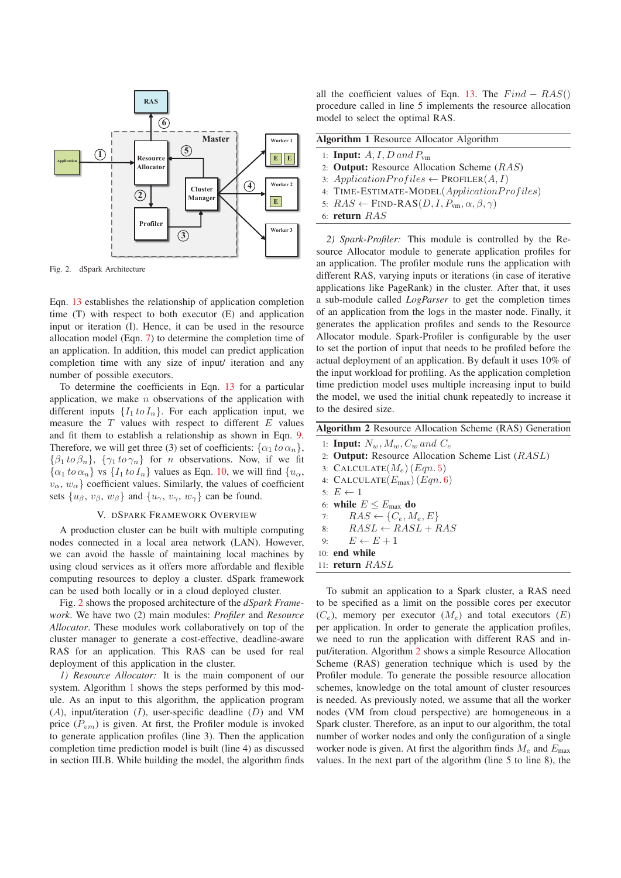

Fig. 2. dSpark Architecture

Eqn. 13 establishes the relationship of application completion time (T) with respect to both executor (E) and application input or iteration (I). Hence, it can be used in the resource allocation model (Eqn. 7) to determine the completion time of an application. In addition, this model can predict application completion time with any size of input/ iteration and any number of possible executors.

To determine the coefficients in Eqn. 13 for a particular application, we make  $n$  observations of the application with different inputs  $\{I_1 \text{ to } I_n\}$ . For each application input, we measure the  $T$  values with respect to different  $E$  values and fit them to establish a relationship as shown in Eqn. 9. Therefore, we will get three (3) set of coefficients:  $\{\alpha_1 \text{ to } \alpha_n\},\$  $\{\beta_1 \text{ to } \beta_n\}, \{\gamma_1 \text{ to } \gamma_n\}$  for *n* observations. Now, if we fit  $\{\alpha_1 \text{ to } \alpha_n\}$  vs  $\{I_1 \text{ to } I_n\}$  values as Eqn. 10, we will find  $\{u_{\alpha},$  $\{v_{\alpha}, w_{\alpha}\}$  coefficient values. Similarly, the values of coefficient sets  $\{u_{\beta}, v_{\beta}, w_{\beta}\}\$  and  $\{u_{\gamma}, v_{\gamma}, w_{\gamma}\}\$  can be found.

# V. DSPARK FRAMEWORK OVERVIEW

A production cluster can be built with multiple computing nodes connected in a local area network (LAN). However, we can avoid the hassle of maintaining local machines by using cloud services as it offers more affordable and flexible computing resources to deploy a cluster. dSpark framework can be used both locally or in a cloud deployed cluster.

Fig. 2 shows the proposed architecture of the *dSpark Framework*. We have two (2) main modules: *Profiler* and *Resource Allocator*. These modules work collaboratively on top of the cluster manager to generate a cost-effective, deadline-aware RAS for an application. This RAS can be used for real deployment of this application in the cluster.

*1) Resource Allocator:* It is the main component of our system. Algorithm 1 shows the steps performed by this module. As an input to this algorithm, the application program (A), input/iteration  $(I)$ , user-specific deadline  $(D)$  and VM price  $(P_{vm})$  is given. At first, the Profiler module is invoked to generate application profiles (line 3). Then the application completion time prediction model is built (line 4) as discussed in section III.B. While building the model, the algorithm finds all the coefficient values of Eqn. 13. The  $Find - RAS()$ procedure called in line 5 implements the resource allocation model to select the optimal RAS.

| Algorithm 1 Resource Allocator Algorithm |  |  |  |  |
|------------------------------------------|--|--|--|--|
|------------------------------------------|--|--|--|--|

- 1: **Input:**  $A, I, D$  and  $P_{vm}$
- 2: **Output:** Resource Allocation Scheme  $(RAS)$
- 3:  $Application Projects \leftarrow PROFILER(A, I)$
- 4: TIME-ESTIMATE-MODEL(ApplicationProfiles)
- 5:  $RAS \leftarrow$  FIND-RAS $(D, I, P_{vm}, \alpha, \beta, \gamma)$
- 6: return RAS

*2) Spark-Profiler:* This module is controlled by the Resource Allocator module to generate application profiles for an application. The profiler module runs the application with different RAS, varying inputs or iterations (in case of iterative applications like PageRank) in the cluster. After that, it uses a sub-module called *LogParser* to get the completion times of an application from the logs in the master node. Finally, it generates the application profiles and sends to the Resource Allocator module. Spark-Profiler is configurable by the user to set the portion of input that needs to be profiled before the actual deployment of an application. By default it uses 10% of the input workload for profiling. As the application completion time prediction model uses multiple increasing input to build the model, we used the initial chunk repeatedly to increase it to the desired size.

|  |  |  | Algorithm 2 Resource Allocation Scheme (RAS) Generation |  |  |  |
|--|--|--|---------------------------------------------------------|--|--|--|
|--|--|--|---------------------------------------------------------|--|--|--|

| 1: <b>Input:</b> $N_w$ , $M_w$ , $C_w$ and $C_e$           |
|------------------------------------------------------------|
| 2: <b>Output:</b> Resource Allocation Scheme List $(RASL)$ |
| 3: CALCULATE $(M_e)$ ( <i>Eqn.</i> 5)                      |
| 4: CALCULATE $(E_{\text{max}})(Eqn. 6)$                    |
| 5: $E \leftarrow 1$                                        |
| 6: while $E \le E_{\text{max}}$ do                         |
| 7: $RAS \leftarrow \{C_e, M_e, E\}$                        |
| 8: $RASL \leftarrow RASL + RAS$                            |
| 9: $E \leftarrow E + 1$                                    |
| $1010$ end while                                           |

11: return RASL

To submit an application to a Spark cluster, a RAS need to be specified as a limit on the possible cores per executor  $(C_e)$ , memory per executor  $(M_e)$  and total executors  $(E)$ per application. In order to generate the application profiles, we need to run the application with different RAS and input/iteration. Algorithm 2 shows a simple Resource Allocation Scheme (RAS) generation technique which is used by the Profiler module. To generate the possible resource allocation schemes, knowledge on the total amount of cluster resources is needed. As previously noted, we assume that all the worker nodes (VM from cloud perspective) are homogeneous in a Spark cluster. Therefore, as an input to our algorithm, the total number of worker nodes and only the configuration of a single worker node is given. At first the algorithm finds  $M_e$  and  $E_{\text{max}}$ values. In the next part of the algorithm (line 5 to line 8), the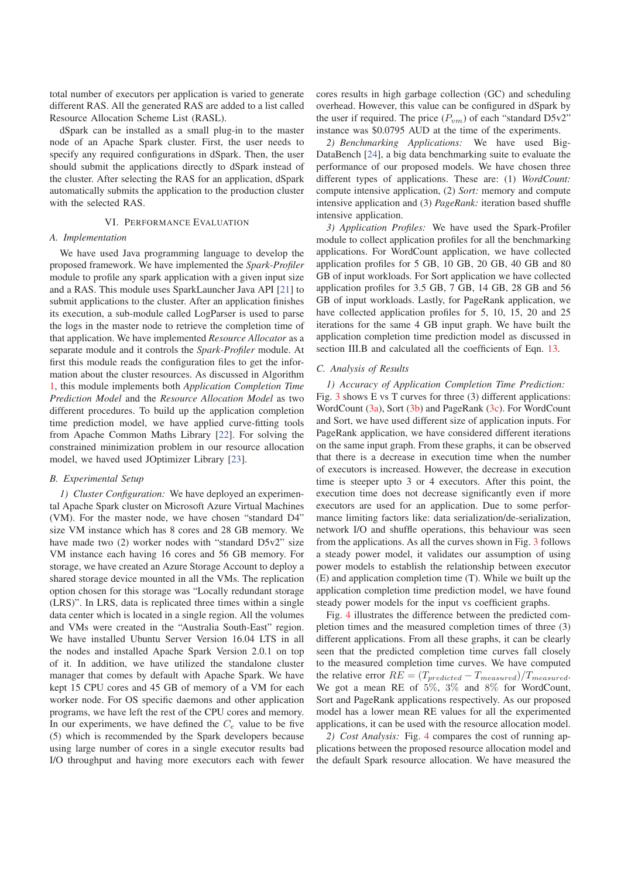total number of executors per application is varied to generate different RAS. All the generated RAS are added to a list called Resource Allocation Scheme List (RASL).

dSpark can be installed as a small plug-in to the master node of an Apache Spark cluster. First, the user needs to specify any required configurations in dSpark. Then, the user should submit the applications directly to dSpark instead of the cluster. After selecting the RAS for an application, dSpark automatically submits the application to the production cluster with the selected RAS.

# VI. PERFORMANCE EVALUATION

# *A. Implementation*

We have used Java programming language to develop the proposed framework. We have implemented the *Spark-Profiler* module to profile any spark application with a given input size and a RAS. This module uses SparkLauncher Java API [21] to submit applications to the cluster. After an application finishes its execution, a sub-module called LogParser is used to parse the logs in the master node to retrieve the completion time of that application. We have implemented *Resource Allocator* as a separate module and it controls the *Spark-Profiler* module. At first this module reads the configuration files to get the information about the cluster resources. As discussed in Algorithm 1, this module implements both *Application Completion Time Prediction Model* and the *Resource Allocation Model* as two different procedures. To build up the application completion time prediction model, we have applied curve-fitting tools from Apache Common Maths Library [22]. For solving the constrained minimization problem in our resource allocation model, we haved used JOptimizer Library [23].

#### *B. Experimental Setup*

*1) Cluster Configuration:* We have deployed an experimental Apache Spark cluster on Microsoft Azure Virtual Machines (VM). For the master node, we have chosen "standard D4" size VM instance which has 8 cores and 28 GB memory. We have made two (2) worker nodes with "standard D5v2" size VM instance each having 16 cores and 56 GB memory. For storage, we have created an Azure Storage Account to deploy a shared storage device mounted in all the VMs. The replication option chosen for this storage was "Locally redundant storage (LRS)". In LRS, data is replicated three times within a single data center which is located in a single region. All the volumes and VMs were created in the "Australia South-East" region. We have installed Ubuntu Server Version 16.04 LTS in all the nodes and installed Apache Spark Version 2.0.1 on top of it. In addition, we have utilized the standalone cluster manager that comes by default with Apache Spark. We have kept 15 CPU cores and 45 GB of memory of a VM for each worker node. For OS specific daemons and other application programs, we have left the rest of the CPU cores and memory. In our experiments, we have defined the  $C_e$  value to be five (5) which is recommended by the Spark developers because using large number of cores in a single executor results bad I/O throughput and having more executors each with fewer

cores results in high garbage collection (GC) and scheduling overhead. However, this value can be configured in dSpark by the user if required. The price  $(P_{vm})$  of each "standard D5v2" instance was \$0.0795 AUD at the time of the experiments.

*2) Benchmarking Applications:* We have used Big-DataBench [24], a big data benchmarking suite to evaluate the performance of our proposed models. We have chosen three different types of applications. These are: (1) *WordCount:* compute intensive application, (2) *Sort:* memory and compute intensive application and (3) *PageRank:* iteration based shuffle intensive application.

*3) Application Profiles:* We have used the Spark-Profiler module to collect application profiles for all the benchmarking applications. For WordCount application, we have collected application profiles for 5 GB, 10 GB, 20 GB, 40 GB and 80 GB of input workloads. For Sort application we have collected application profiles for 3.5 GB, 7 GB, 14 GB, 28 GB and 56 GB of input workloads. Lastly, for PageRank application, we have collected application profiles for 5, 10, 15, 20 and 25 iterations for the same 4 GB input graph. We have built the application completion time prediction model as discussed in section III.B and calculated all the coefficients of Eqn. 13.

## *C. Analysis of Results*

*1) Accuracy of Application Completion Time Prediction:* Fig. 3 shows E vs T curves for three (3) different applications: WordCount (3a), Sort (3b) and PageRank (3c). For WordCount and Sort, we have used different size of application inputs. For PageRank application, we have considered different iterations on the same input graph. From these graphs, it can be observed that there is a decrease in execution time when the number of executors is increased. However, the decrease in execution time is steeper upto 3 or 4 executors. After this point, the execution time does not decrease significantly even if more executors are used for an application. Due to some performance limiting factors like: data serialization/de-serialization, network I/O and shuffle operations, this behaviour was seen from the applications. As all the curves shown in Fig. 3 follows a steady power model, it validates our assumption of using power models to establish the relationship between executor (E) and application completion time (T). While we built up the application completion time prediction model, we have found steady power models for the input vs coefficient graphs.

Fig. 4 illustrates the difference between the predicted completion times and the measured completion times of three (3) different applications. From all these graphs, it can be clearly seen that the predicted completion time curves fall closely to the measured completion time curves. We have computed the relative error  $RE = (T_{predicted} - T_{measured})/T_{measured}$ . We got a mean RE of 5%, 3% and 8% for WordCount, Sort and PageRank applications respectively. As our proposed model has a lower mean RE values for all the experimented applications, it can be used with the resource allocation model.

*2) Cost Analysis:* Fig. 4 compares the cost of running applications between the proposed resource allocation model and the default Spark resource allocation. We have measured the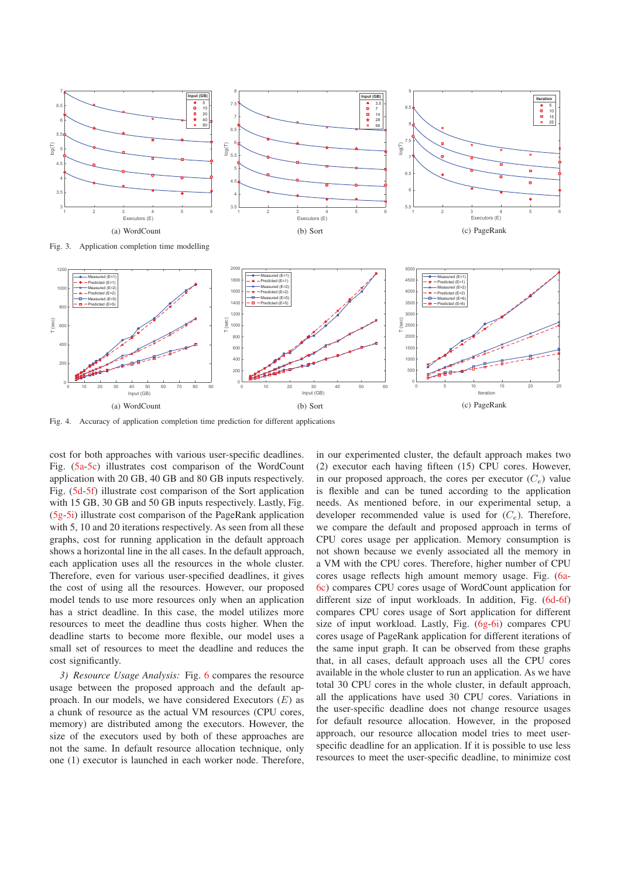

Fig. 4. Accuracy of application completion time prediction for different applications

cost for both approaches with various user-specific deadlines. Fig. (5a-5c) illustrates cost comparison of the WordCount application with 20 GB, 40 GB and 80 GB inputs respectively. Fig. (5d-5f) illustrate cost comparison of the Sort application with 15 GB, 30 GB and 50 GB inputs respectively. Lastly, Fig. (5g-5i) illustrate cost comparison of the PageRank application with 5, 10 and 20 iterations respectively. As seen from all these graphs, cost for running application in the default approach shows a horizontal line in the all cases. In the default approach, each application uses all the resources in the whole cluster. Therefore, even for various user-specified deadlines, it gives the cost of using all the resources. However, our proposed model tends to use more resources only when an application has a strict deadline. In this case, the model utilizes more resources to meet the deadline thus costs higher. When the deadline starts to become more flexible, our model uses a small set of resources to meet the deadline and reduces the cost significantly.

*3) Resource Usage Analysis:* Fig. 6 compares the resource usage between the proposed approach and the default approach. In our models, we have considered Executors  $(E)$  as a chunk of resource as the actual VM resources (CPU cores, memory) are distributed among the executors. However, the size of the executors used by both of these approaches are not the same. In default resource allocation technique, only one (1) executor is launched in each worker node. Therefore,

in our experimented cluster, the default approach makes two (2) executor each having fifteen (15) CPU cores. However, in our proposed approach, the cores per executor  $(C_e)$  value is flexible and can be tuned according to the application needs. As mentioned before, in our experimental setup, a developer recommended value is used for  $(C_e)$ . Therefore, we compare the default and proposed approach in terms of CPU cores usage per application. Memory consumption is not shown because we evenly associated all the memory in a VM with the CPU cores. Therefore, higher number of CPU cores usage reflects high amount memory usage. Fig. (6a-6c) compares CPU cores usage of WordCount application for different size of input workloads. In addition, Fig. (6d-6f) compares CPU cores usage of Sort application for different size of input workload. Lastly, Fig. (6g-6i) compares CPU cores usage of PageRank application for different iterations of the same input graph. It can be observed from these graphs that, in all cases, default approach uses all the CPU cores available in the whole cluster to run an application. As we have total 30 CPU cores in the whole cluster, in default approach, all the applications have used 30 CPU cores. Variations in the user-specific deadline does not change resource usages for default resource allocation. However, in the proposed approach, our resource allocation model tries to meet userspecific deadline for an application. If it is possible to use less resources to meet the user-specific deadline, to minimize cost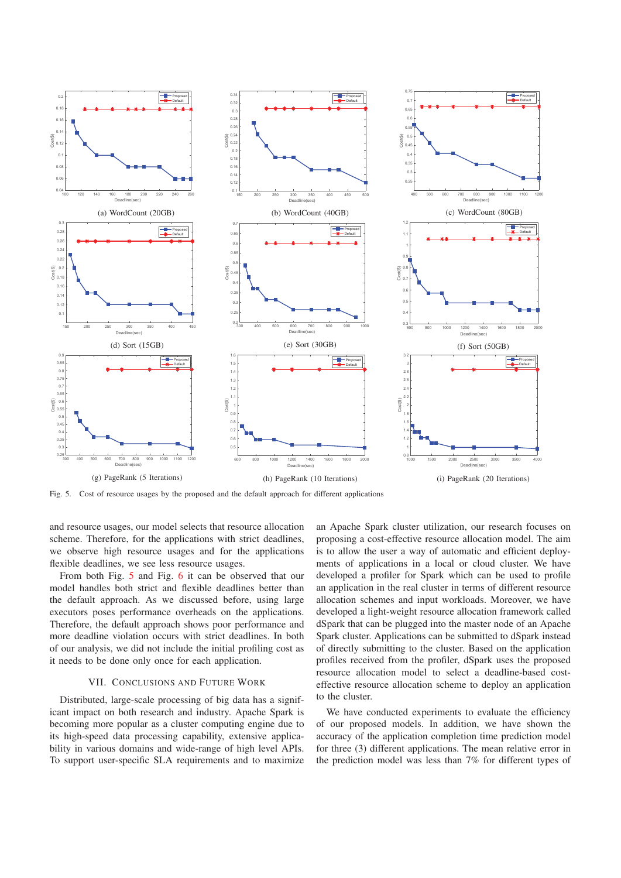

Fig. 5. Cost of resource usages by the proposed and the default approach for different applications

and resource usages, our model selects that resource allocation scheme. Therefore, for the applications with strict deadlines, we observe high resource usages and for the applications flexible deadlines, we see less resource usages.

From both Fig. 5 and Fig. 6 it can be observed that our model handles both strict and flexible deadlines better than the default approach. As we discussed before, using large executors poses performance overheads on the applications. Therefore, the default approach shows poor performance and more deadline violation occurs with strict deadlines. In both of our analysis, we did not include the initial profiling cost as it needs to be done only once for each application.

# VII. CONCLUSIONS AND FUTURE WORK

Distributed, large-scale processing of big data has a significant impact on both research and industry. Apache Spark is becoming more popular as a cluster computing engine due to its high-speed data processing capability, extensive applicability in various domains and wide-range of high level APIs. To support user-specific SLA requirements and to maximize

an Apache Spark cluster utilization, our research focuses on proposing a cost-effective resource allocation model. The aim is to allow the user a way of automatic and efficient deployments of applications in a local or cloud cluster. We have developed a profiler for Spark which can be used to profile an application in the real cluster in terms of different resource allocation schemes and input workloads. Moreover, we have developed a light-weight resource allocation framework called dSpark that can be plugged into the master node of an Apache Spark cluster. Applications can be submitted to dSpark instead of directly submitting to the cluster. Based on the application profiles received from the profiler, dSpark uses the proposed resource allocation model to select a deadline-based costeffective resource allocation scheme to deploy an application to the cluster.

We have conducted experiments to evaluate the efficiency of our proposed models. In addition, we have shown the accuracy of the application completion time prediction model for three (3) different applications. The mean relative error in the prediction model was less than 7% for different types of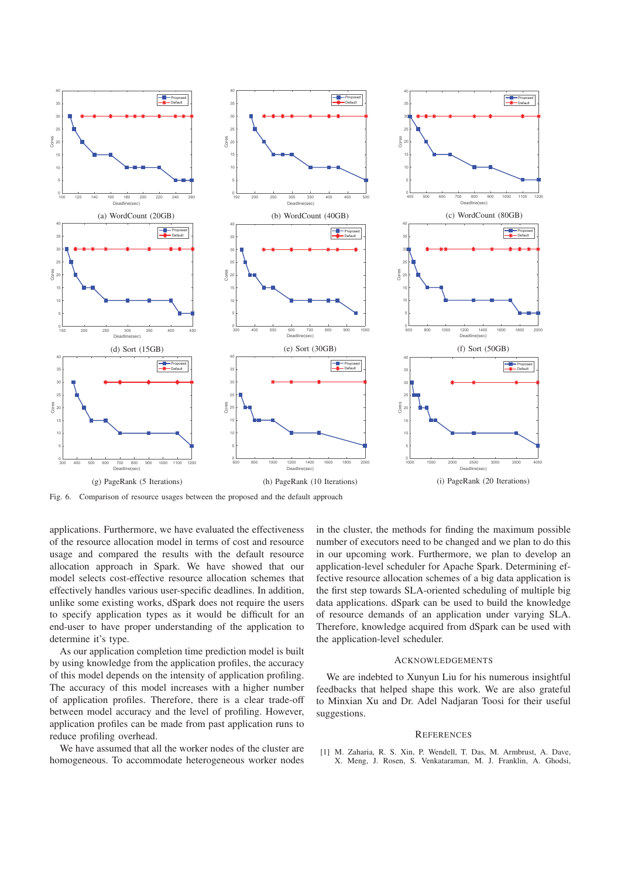

Fig. 6. Comparison of resource usages between the proposed and the default approach

applications. Furthermore, we have evaluated the effectiveness of the resource allocation model in terms of cost and resource usage and compared the results with the default resource allocation approach in Spark. We have showed that our model selects cost-effective resource allocation schemes that effectively handles various user-specific deadlines. In addition, unlike some existing works, dSpark does not require the users to specify application types as it would be difficult for an end-user to have proper understanding of the application to determine it's type.

As our application completion time prediction model is built by using knowledge from the application profiles, the accuracy of this model depends on the intensity of application profiling. The accuracy of this model increases with a higher number of application profiles. Therefore, there is a clear trade-off between model accuracy and the level of profiling. However, application profiles can be made from past application runs to reduce profiling overhead.

We have assumed that all the worker nodes of the cluster are homogeneous. To accommodate heterogeneous worker nodes

in the cluster, the methods for finding the maximum possible number of executors need to be changed and we plan to do this in our upcoming work. Furthermore, we plan to develop an application-level scheduler for Apache Spark. Determining effective resource allocation schemes of a big data application is the first step towards SLA-oriented scheduling of multiple big data applications. dSpark can be used to build the knowledge of resource demands of an application under varying SLA. Therefore, knowledge acquired from dSpark can be used with the application-level scheduler.

#### ACKNOWLEDGEMENTS

We are indebted to Xunyun Liu for his numerous insightful feedbacks that helped shape this work. We are also grateful to Minxian Xu and Dr. Adel Nadjaran Toosi for their useful suggestions.

# **REFERENCES**

[1] M. Zaharia, R. S. Xin, P. Wendell, T. Das, M. Armbrust, A. Dave, X. Meng, J. Rosen, S. Venkataraman, M. J. Franklin, A. Ghodsi,